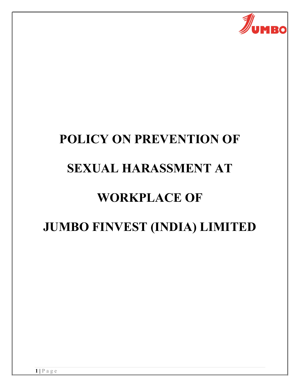

# POLICY ON PREVENTION OF SEXUAL HARASSMENT AT WORKPLACE OF JUMBO FINVEST (INDIA) LIMITED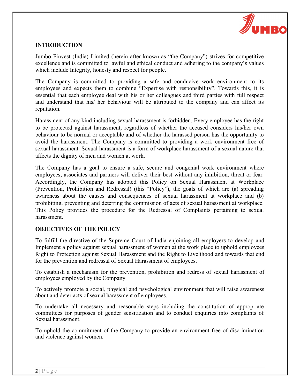

### INTRODUCTION

Jumbo Finvest (India) Limited (herein after known as "the Company") strives for competitive excellence and is committed to lawful and ethical conduct and adhering to the company's values which include Integrity, honesty and respect for people.

The Company is committed to providing a safe and conducive work environment to its employees and expects them to combine "Expertise with responsibility". Towards this, it is essential that each employee deal with his or her colleagues and third parties with full respect and understand that his/ her behaviour will be attributed to the company and can affect its reputation.

Harassment of any kind including sexual harassment is forbidden. Every employee has the right to be protected against harassment, regardless of whether the accused considers his/her own behaviour to be normal or acceptable and of whether the harassed person has the opportunity to avoid the harassment. The Company is committed to providing a work environment free of sexual harassment. Sexual harassment is a form of workplace harassment of a sexual nature that affects the dignity of men and women at work.

The Company has a goal to ensure a safe, secure and congenial work environment where employees, associates and partners will deliver their best without any inhibition, threat or fear. Accordingly, the Company has adopted this Policy on Sexual Harassment at Workplace (Prevention, Prohibition and Redressal) (this "Policy"), the goals of which are (a) spreading awareness about the causes and consequences of sexual harassment at workplace and (b) prohibiting, preventing and deterring the commission of acts of sexual harassment at workplace. This Policy provides the procedure for the Redressal of Complaints pertaining to sexual harassment.

### OBJECTIVES OF THE POLICY

To fulfill the directive of the Supreme Court of India enjoining all employers to develop and Implement a policy against sexual harassment of women at the work place to uphold employees Right to Protection against Sexual Harassment and the Right to Livelihood and towards that end for the prevention and redressal of Sexual Harassment of employees.

To establish a mechanism for the prevention, prohibition and redress of sexual harassment of employees employed by the Company.

To actively promote a social, physical and psychological environment that will raise awareness about and deter acts of sexual harassment of employees.

To undertake all necessary and reasonable steps including the constitution of appropriate committees for purposes of gender sensitization and to conduct enquiries into complaints of Sexual harassment.

To uphold the commitment of the Company to provide an environment free of discrimination and violence against women.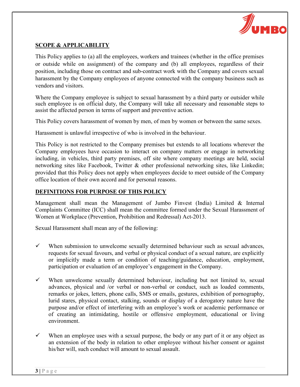

#### SCOPE & APPLICABILITY

This Policy applies to (a) all the employees, workers and trainees (whether in the office premises or outside while on assignment) of the company and (b) all employees, regardless of their position, including those on contract and sub-contract work with the Company and covers sexual harassment by the Company employees of anyone connected with the company business such as vendors and visitors.

Where the Company employee is subject to sexual harassment by a third party or outsider while such employee is on official duty, the Company will take all necessary and reasonable steps to assist the affected person in terms of support and preventive action.

This Policy covers harassment of women by men, of men by women or between the same sexes.

Harassment is unlawful irrespective of who is involved in the behaviour.

This Policy is not restricted to the Company premises but extends to all locations wherever the Company employees have occasion to interact on company matters or engage in networking including, in vehicles, third party premises, off site where company meetings are held, social networking sites like Facebook, Twitter & other professional networking sites, like Linkedin; provided that this Policy does not apply when employees decide to meet outside of the Company office location of their own accord and for personal reasons.

#### DEFINITIONS FOR PURPOSE OF THIS POLICY

Management shall mean the Management of Jumbo Finvest (India) Limited & Internal Complaints Committee (ICC) shall mean the committee formed under the Sexual Harassment of Women at Workplace (Prevention, Prohibition and Redressal) Act-2013.

Sexual Harassment shall mean any of the following:

- $\checkmark$  When submission to unwelcome sexually determined behaviour such as sexual advances, requests for sexual favours, and verbal or physical conduct of a sexual nature, are explicitly or implicitly made a term or condition of teaching/guidance, education, employment, participation or evaluation of an employee's engagement in the Company.
- $\checkmark$  When unwelcome sexually determined behaviour, including but not limited to, sexual advances, physical and /or verbal or non-verbal or conduct, such as loaded comments, remarks or jokes, letters, phone calls, SMS or emails, gestures, exhibition of pornography, lurid stares, physical contact, stalking, sounds or display of a derogatory nature have the purpose and/or effect of interfering with an employee's work or academic performance or of creating an intimidating, hostile or offensive employment, educational or living environment.
- $\checkmark$  When an employee uses with a sexual purpose, the body or any part of it or any object as an extension of the body in relation to other employee without his/her consent or against his/her will, such conduct will amount to sexual assault.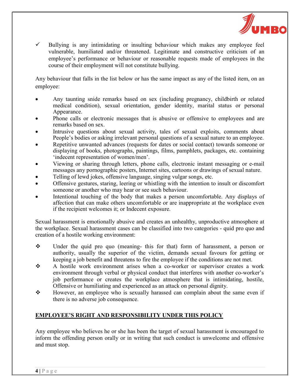

 $\checkmark$  Bullying is any intimidating or insulting behaviour which makes any employee feel vulnerable, humiliated and/or threatened. Legitimate and constructive criticism of an employee's performance or behaviour or reasonable requests made of employees in the course of their employment will not constitute bullying.

Any behaviour that falls in the list below or has the same impact as any of the listed item, on an employee:

- Any taunting snide remarks based on sex (including pregnancy, childbirth or related medical condition), sexual orientation, gender identity, marital status or personal Appearance.
- Phone calls or electronic messages that is abusive or offensive to employees and are remarks based on sex.
- Intrusive questions about sexual activity, tales of sexual exploits, comments about People's bodies or asking irrelevant personal questions of a sexual nature to an employee.
- Repetitive unwanted advances (requests for dates or social contact) towards someone or displaying of books, photographs, paintings, films, pamphlets, packages, etc. containing 'indecent representation of women/men'.
- Viewing or sharing through letters, phone calls, electronic instant messaging or e-mail messages any pornographic posters, Internet sites, cartoons or drawings of sexual nature.
- Telling of lewd jokes, offensive language, singing vulgar songs, etc.
- Offensive gestures, staring, leering or whistling with the intention to insult or discomfort someone or another who may hear or see such behaviour.
- Intentional touching of the body that makes a person uncomfortable. Any displays of affection that can make others uncomfortable or are inappropriate at the workplace even if the recipient welcomes it; or Indecent exposure.

Sexual harassment is emotionally abusive and creates an unhealthy, unproductive atmosphere at the workplace. Sexual harassment cases can be classified into two categories - quid pro quo and creation of a hostile working environment:

- Under the quid pro quo (meaning- this for that) form of harassment, a person or authority, usually the superior of the victim, demands sexual favours for getting or keeping a job benefit and threatens to fire the employee if the conditions are not met.
- A hostile work environment arises when a co-worker or supervisor creates a work environment through verbal or physical conduct that interferes with another co-worker's job performance or creates the workplace atmosphere that is intimidating, hostile, Offensive or humiliating and experienced as an attack on personal dignity.
- However, an employee who is sexually harassed can complain about the same even if there is no adverse job consequence.

# EMPLOYEE'S RIGHT AND RESPONSIBILITY UNDER THIS POLICY

Any employee who believes he or she has been the target of sexual harassment is encouraged to inform the offending person orally or in writing that such conduct is unwelcome and offensive and must stop.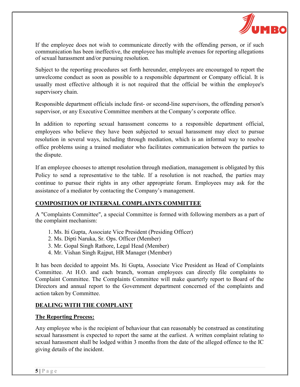

If the employee does not wish to communicate directly with the offending person, or if such communication has been ineffective, the employee has multiple avenues for reporting allegations of sexual harassment and/or pursuing resolution.

Subject to the reporting procedures set forth hereunder, employees are encouraged to report the unwelcome conduct as soon as possible to a responsible department or Company official. It is usually most effective although it is not required that the official be within the employee's supervisory chain.

Responsible department officials include first- or second-line supervisors, the offending person's supervisor, or any Executive Committee members at the Company's corporate office.

In addition to reporting sexual harassment concerns to a responsible department official, employees who believe they have been subjected to sexual harassment may elect to pursue resolution in several ways, including through mediation, which is an informal way to resolve office problems using a trained mediator who facilitates communication between the parties to the dispute.

If an employee chooses to attempt resolution through mediation, management is obligated by this Policy to send a representative to the table. If a resolution is not reached, the parties may continue to pursue their rights in any other appropriate forum. Employees may ask for the assistance of a mediator by contacting the Company's management.

### COMPOSITION OF INTERNAL COMPLAINTS COMMITTEE

A "Complaints Committee", a special Committee is formed with following members as a part of the complaint mechanism:

- 1. Ms. Iti Gupta, Associate Vice President (Presiding Officer)
- 2. Ms. Dipti Naruka, Sr. Ops. Officer (Member)
- 3. Mr. Gopal Singh Rathore, Legal Head (Member)
- 4. Mr. Vishan Singh Rajput, HR Manager (Member)

It has been decided to appoint Ms. Iti Gupta, Associate Vice President as Head of Complaints Committee. At H.O. and each branch, woman employees can directly file complaints to Complaint Committee. The Complaints Committee will make quarterly report to Board of the Directors and annual report to the Government department concerned of the complaints and action taken by Committee.

### DEALING WITH THE COMPLAINT

#### The Reporting Process:

Any employee who is the recipient of behaviour that can reasonably be construed as constituting sexual harassment is expected to report the same at the earliest. A written complaint relating to sexual harassment shall be lodged within 3 months from the date of the alleged offence to the IC giving details of the incident.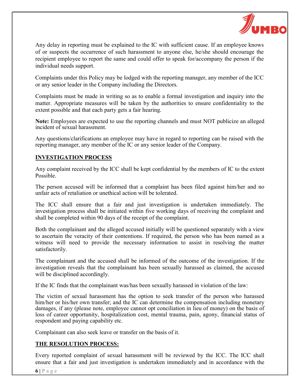

Any delay in reporting must be explained to the IC with sufficient cause. If an employee knows of or suspects the occurrence of such harassment to anyone else, he/she should encourage the recipient employee to report the same and could offer to speak for/accompany the person if the individual needs support.

Complaints under this Policy may be lodged with the reporting manager, any member of the ICC or any senior leader in the Company including the Directors.

Complaints must be made in writing so as to enable a formal investigation and inquiry into the matter. Appropriate measures will be taken by the authorities to ensure confidentiality to the extent possible and that each party gets a fair hearing.

Note: Employees are expected to use the reporting channels and must NOT publicize an alleged incident of sexual harassment.

Any questions/clarifications an employee may have in regard to reporting can be raised with the reporting manager, any member of the IC or any senior leader of the Company.

#### INVESTIGATION PROCESS

Any complaint received by the ICC shall be kept confidential by the members of IC to the extent Possible.

The person accused will be informed that a complaint has been filed against him/her and no unfair acts of retaliation or unethical action will be tolerated.

The ICC shall ensure that a fair and just investigation is undertaken immediately. The investigation process shall be initiated within five working days of receiving the complaint and shall be completed within 90 days of the receipt of the complaint.

Both the complainant and the alleged accused initially will be questioned separately with a view to ascertain the veracity of their contentions. If required, the person who has been named as a witness will need to provide the necessary information to assist in resolving the matter satisfactorily.

The complainant and the accused shall be informed of the outcome of the investigation. If the investigation reveals that the complainant has been sexually harassed as claimed, the accused will be disciplined accordingly.

If the IC finds that the complainant was/has been sexually harassed in violation of the law:

The victim of sexual harassment has the option to seek transfer of the person who harassed him/her or his/her own transfer; and the IC can determine the compensation including monetary damages, if any (please note, employee cannot opt conciliation in lieu of money) on the basis of loss of career opportunity, hospitalization cost, mental trauma, pain, agony, financial status of respondent and paying capability etc.

Complainant can also seek leave or transfer on the basis of it.

### THE RESOLUTION PROCESS:

Every reported complaint of sexual harassment will be reviewed by the ICC. The ICC shall ensure that a fair and just investigation is undertaken immediately and in accordance with the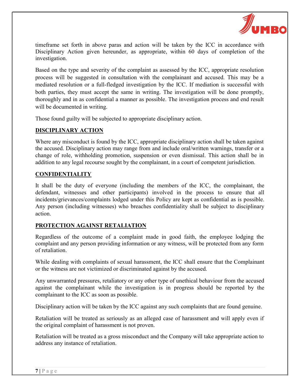

timeframe set forth in above paras and action will be taken by the ICC in accordance with Disciplinary Action given hereunder, as appropriate, within 60 days of completion of the investigation.

Based on the type and severity of the complaint as assessed by the ICC, appropriate resolution process will be suggested in consultation with the complainant and accused. This may be a mediated resolution or a full-fledged investigation by the ICC. If mediation is successful with both parties, they must accept the same in writing. The investigation will be done promptly, thoroughly and in as confidential a manner as possible. The investigation process and end result will be documented in writing.

Those found guilty will be subjected to appropriate disciplinary action.

## DISCIPLINARY ACTION

Where any misconduct is found by the ICC, appropriate disciplinary action shall be taken against the accused. Disciplinary action may range from and include oral/written warnings, transfer or a change of role, withholding promotion, suspension or even dismissal. This action shall be in addition to any legal recourse sought by the complainant, in a court of competent jurisdiction.

### CONFIDENTIALITY

It shall be the duty of everyone (including the members of the ICC, the complainant, the defendant, witnesses and other participants) involved in the process to ensure that all incidents/grievances/complaints lodged under this Policy are kept as confidential as is possible. Any person (including witnesses) who breaches confidentiality shall be subject to disciplinary action.

### PROTECTION AGAINST RETALIATION

Regardless of the outcome of a complaint made in good faith, the employee lodging the complaint and any person providing information or any witness, will be protected from any form of retaliation.

While dealing with complaints of sexual harassment, the ICC shall ensure that the Complainant or the witness are not victimized or discriminated against by the accused.

Any unwarranted pressures, retaliatory or any other type of unethical behaviour from the accused against the complainant while the investigation is in progress should be reported by the complainant to the ICC as soon as possible.

Disciplinary action will be taken by the ICC against any such complaints that are found genuine.

Retaliation will be treated as seriously as an alleged case of harassment and will apply even if the original complaint of harassment is not proven.

Retaliation will be treated as a gross misconduct and the Company will take appropriate action to address any instance of retaliation.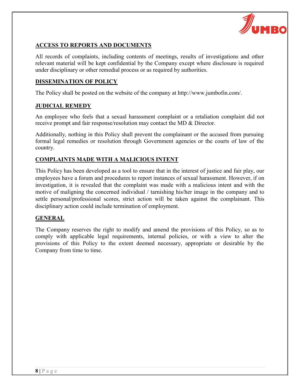

### ACCESS TO REPORTS AND DOCUMENTS

All records of complaints, including contents of meetings, results of investigations and other relevant material will be kept confidential by the Company except where disclosure is required under disciplinary or other remedial process or as required by authorities.

#### DISSEMINATION OF POLICY

The Policy shall be posted on the website of the company at http://www.jumbofin.com/.

#### JUDICIAL REMEDY

An employee who feels that a sexual harassment complaint or a retaliation complaint did not receive prompt and fair response/resolution may contact the MD & Director.

Additionally, nothing in this Policy shall prevent the complainant or the accused from pursuing formal legal remedies or resolution through Government agencies or the courts of law of the country.

### COMPLAINTS MADE WITH A MALICIOUS INTENT

This Policy has been developed as a tool to ensure that in the interest of justice and fair play, our employees have a forum and procedures to report instances of sexual harassment. However, if on investigation, it is revealed that the complaint was made with a malicious intent and with the motive of maligning the concerned individual / tarnishing his/her image in the company and to settle personal/professional scores, strict action will be taken against the complainant. This disciplinary action could include termination of employment.

### GENERAL

The Company reserves the right to modify and amend the provisions of this Policy, so as to comply with applicable legal requirements, internal policies, or with a view to alter the provisions of this Policy to the extent deemed necessary, appropriate or desirable by the Company from time to time.